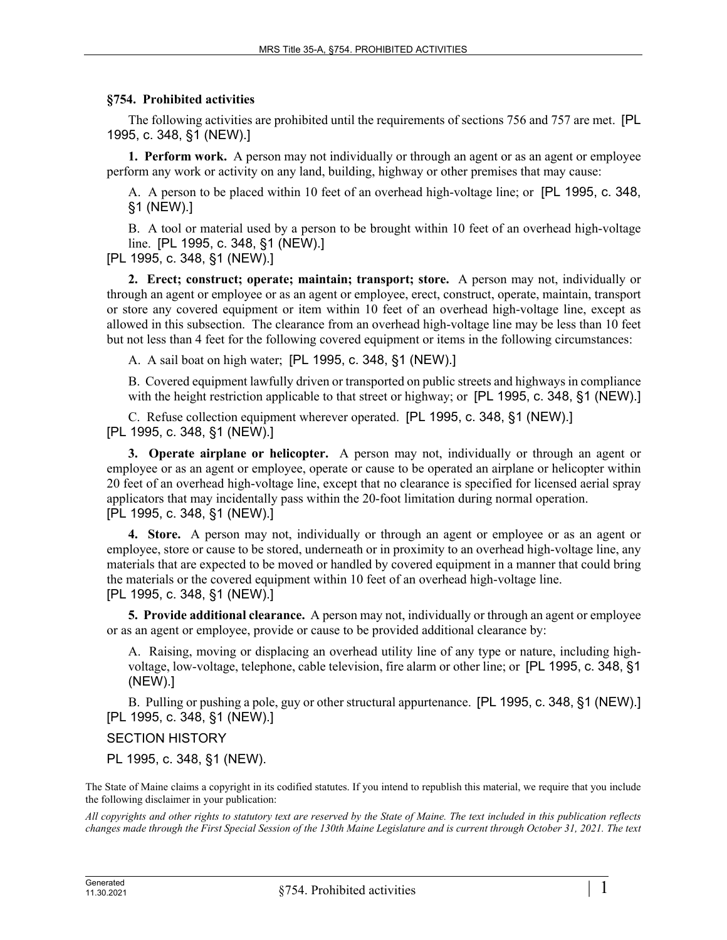## **§754. Prohibited activities**

The following activities are prohibited until the requirements of sections 756 and 757 are met. [PL 1995, c. 348, §1 (NEW).]

**1. Perform work.** A person may not individually or through an agent or as an agent or employee perform any work or activity on any land, building, highway or other premises that may cause:

A. A person to be placed within 10 feet of an overhead high-voltage line; or [PL 1995, c. 348, §1 (NEW).]

B. A tool or material used by a person to be brought within 10 feet of an overhead high-voltage line. [PL 1995, c. 348, §1 (NEW).]

[PL 1995, c. 348, §1 (NEW).]

**2. Erect; construct; operate; maintain; transport; store.** A person may not, individually or through an agent or employee or as an agent or employee, erect, construct, operate, maintain, transport or store any covered equipment or item within 10 feet of an overhead high-voltage line, except as allowed in this subsection. The clearance from an overhead high-voltage line may be less than 10 feet but not less than 4 feet for the following covered equipment or items in the following circumstances:

A. A sail boat on high water; [PL 1995, c. 348, §1 (NEW).]

B. Covered equipment lawfully driven or transported on public streets and highways in compliance with the height restriction applicable to that street or highway; or [PL 1995, c. 348, §1 (NEW).]

C. Refuse collection equipment wherever operated. [PL 1995, c. 348, §1 (NEW).] [PL 1995, c. 348, §1 (NEW).]

**3. Operate airplane or helicopter.** A person may not, individually or through an agent or employee or as an agent or employee, operate or cause to be operated an airplane or helicopter within 20 feet of an overhead high-voltage line, except that no clearance is specified for licensed aerial spray applicators that may incidentally pass within the 20-foot limitation during normal operation. [PL 1995, c. 348, §1 (NEW).]

**4. Store.** A person may not, individually or through an agent or employee or as an agent or employee, store or cause to be stored, underneath or in proximity to an overhead high-voltage line, any materials that are expected to be moved or handled by covered equipment in a manner that could bring the materials or the covered equipment within 10 feet of an overhead high-voltage line. [PL 1995, c. 348, §1 (NEW).]

**5. Provide additional clearance.** A person may not, individually or through an agent or employee or as an agent or employee, provide or cause to be provided additional clearance by:

A. Raising, moving or displacing an overhead utility line of any type or nature, including highvoltage, low-voltage, telephone, cable television, fire alarm or other line; or [PL 1995, c. 348, §1 (NEW).]

B. Pulling or pushing a pole, guy or other structural appurtenance. [PL 1995, c. 348, §1 (NEW).] [PL 1995, c. 348, §1 (NEW).]

## SECTION HISTORY

PL 1995, c. 348, §1 (NEW).

The State of Maine claims a copyright in its codified statutes. If you intend to republish this material, we require that you include the following disclaimer in your publication:

*All copyrights and other rights to statutory text are reserved by the State of Maine. The text included in this publication reflects changes made through the First Special Session of the 130th Maine Legislature and is current through October 31, 2021. The text*